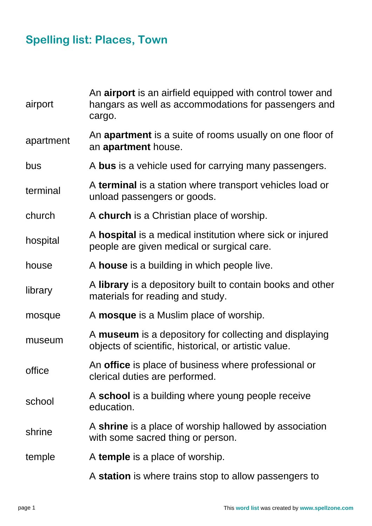## **Spelling list: Places, Town**

| airport   | An airport is an airfield equipped with control tower and<br>hangars as well as accommodations for passengers and<br>cargo. |
|-----------|-----------------------------------------------------------------------------------------------------------------------------|
| apartment | An apartment is a suite of rooms usually on one floor of<br>an apartment house.                                             |
| bus       | A bus is a vehicle used for carrying many passengers.                                                                       |
| terminal  | A terminal is a station where transport vehicles load or<br>unload passengers or goods.                                     |
| church    | A church is a Christian place of worship.                                                                                   |
| hospital  | A hospital is a medical institution where sick or injured<br>people are given medical or surgical care.                     |
| house     | A house is a building in which people live.                                                                                 |
| library   | A library is a depository built to contain books and other<br>materials for reading and study.                              |
| mosque    | A <b>mosque</b> is a Muslim place of worship.                                                                               |
| museum    | A museum is a depository for collecting and displaying<br>objects of scientific, historical, or artistic value.             |
| office    | An office is place of business where professional or<br>clerical duties are performed.                                      |
| school    | A school is a building where young people receive<br>education.                                                             |
| shrine    | A shrine is a place of worship hallowed by association<br>with some sacred thing or person.                                 |
| temple    | A temple is a place of worship.                                                                                             |
|           | A station is where trains stop to allow passengers to                                                                       |